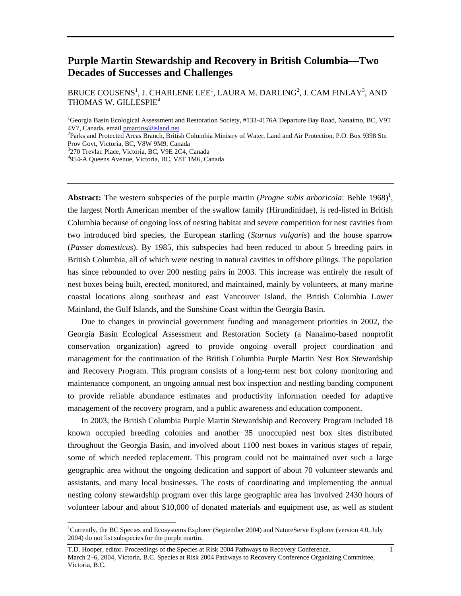# **Purple Martin Stewardship and Recovery in British Columbia—Two Decades of Successes and Challenges**

BRUCE COUSENS $^{\rm l}$ , J. CHARLENE LEE $^{\rm l}$ , LAURA M. DARLING $^{\rm 2}$ , J. CAM FINLAY $^{\rm 3}$ , AND THOMAS W. GILLESPIE<sup>4</sup>

<sup>1</sup>Georgia Basin Ecological Assessment and Restoration Society, #133-4176A Departure Bay Road, Nanaimo, BC, V9T 4V7, Canada, email *[pmartins@island.net](mailto:pmartins@island.net)* 

<sup>2</sup>Parks and Protected Areas Branch, British Columbia Ministry of Water, Land and Air Protection, P.O. Box 9398 Stn Prov Govt, Victoria, BC, V8W 9M9, Canada <sup>3</sup>

<sup>3</sup>270 Trevlac Place, Victoria, BC, V9E 2C4, Canada

954-A Queens Avenue, Victoria, BC, V8T 1M6, Canada

**Abstract:** The western subspecies of the purple martin (*Progne subis arboricola*: Behle [1](#page-0-0)968)<sup>1</sup>, the largest North American member of the swallow family (Hirundinidae), is red-listed in British Columbia because of ongoing loss of nesting habitat and severe competition for nest cavities from two introduced bird species, the European starling (*Sturnus vulgaris*) and the house sparrow (*Passer domesticus*). By 1985, this subspecies had been reduced to about 5 breeding pairs in British Columbia, all of which were nesting in natural cavities in offshore pilings. The population has since rebounded to over 200 nesting pairs in 2003. This increase was entirely the result of nest boxes being built, erected, monitored, and maintained, mainly by volunteers, at many marine coastal locations along southeast and east Vancouver Island, the British Columbia Lower Mainland, the Gulf Islands, and the Sunshine Coast within the Georgia Basin.

Due to changes in provincial government funding and management priorities in 2002, the Georgia Basin Ecological Assessment and Restoration Society (a Nanaimo-based nonprofit conservation organization) agreed to provide ongoing overall project coordination and management for the continuation of the British Columbia Purple Martin Nest Box Stewardship and Recovery Program. This program consists of a long-term nest box colony monitoring and maintenance component, an ongoing annual nest box inspection and nestling banding component to provide reliable abundance estimates and productivity information needed for adaptive management of the recovery program, and a public awareness and education component.

In 2003, the British Columbia Purple Martin Stewardship and Recovery Program included 18 known occupied breeding colonies and another 35 unoccupied nest box sites distributed throughout the Georgia Basin, and involved about 1100 nest boxes in various stages of repair, some of which needed replacement. This program could not be maintained over such a large geographic area without the ongoing dedication and support of about 70 volunteer stewards and assistants, and many local businesses. The costs of coordinating and implementing the annual nesting colony stewardship program over this large geographic area has involved 2430 hours of volunteer labour and about \$10,000 of donated materials and equipment use, as well as student

<span id="page-0-0"></span> $\frac{1}{1}$ Currently, the BC Species and Ecosystems Explorer (September 2004) and NatureServe Explorer (version 4.0, July 2004) do not list subspecies for the purple martin.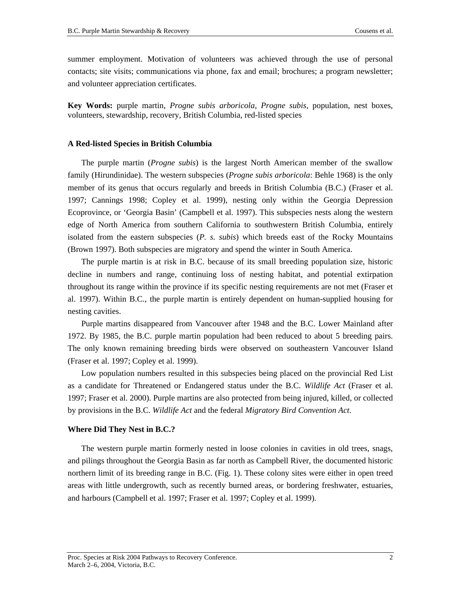summer employment. Motivation of volunteers was achieved through the use of personal contacts; site visits; communications via phone, fax and email; brochures; a program newsletter; and volunteer appreciation certificates.

**Key Words:** purple martin, *Progne subis arboricola*, *Progne subis,* population, nest boxes, volunteers, stewardship, recovery, British Columbia, red-listed species

### **A Red-listed Species in British Columbia**

The purple martin (*Progne subis*) is the largest North American member of the swallow family (Hirundinidae). The western subspecies (*Progne subis arboricola*: Behle 1968) is the only member of its genus that occurs regularly and breeds in British Columbia (B.C.) (Fraser et al. 1997; Cannings 1998; Copley et al. 1999), nesting only within the Georgia Depression Ecoprovince, or 'Georgia Basin' (Campbell et al. 1997). This subspecies nests along the western edge of North America from southern California to southwestern British Columbia, entirely isolated from the eastern subspecies (*P. s. subis*) which breeds east of the Rocky Mountains (Brown 1997). Both subspecies are migratory and spend the winter in South America.

The purple martin is at risk in B.C. because of its small breeding population size, historic decline in numbers and range, continuing loss of nesting habitat, and potential extirpation throughout its range within the province if its specific nesting requirements are not met (Fraser et al. 1997). Within B.C., the purple martin is entirely dependent on human-supplied housing for nesting cavities.

Purple martins disappeared from Vancouver after 1948 and the B.C. Lower Mainland after 1972. By 1985, the B.C. purple martin population had been reduced to about 5 breeding pairs. The only known remaining breeding birds were observed on southeastern Vancouver Island (Fraser et al. 1997; Copley et al. 1999).

Low population numbers resulted in this subspecies being placed on the provincial Red List as a candidate for Threatened or Endangered status under the B.C. *Wildlife Act* (Fraser et al. 1997; Fraser et al. 2000). Purple martins are also protected from being injured, killed, or collected by provisions in the B.C. *Wildlife Act* and the federal *Migratory Bird Convention Act*.

### **Where Did They Nest in B.C.?**

The western purple martin formerly nested in loose colonies in cavities in old trees, snags, and pilings throughout the Georgia Basin as far north as Campbell River, the documented historic northern limit of its breeding range in B.C. (Fig. 1). These colony sites were either in open treed areas with little undergrowth, such as recently burned areas, or bordering freshwater, estuaries, and harbours (Campbell et al. 1997; Fraser et al. 1997; Copley et al. 1999).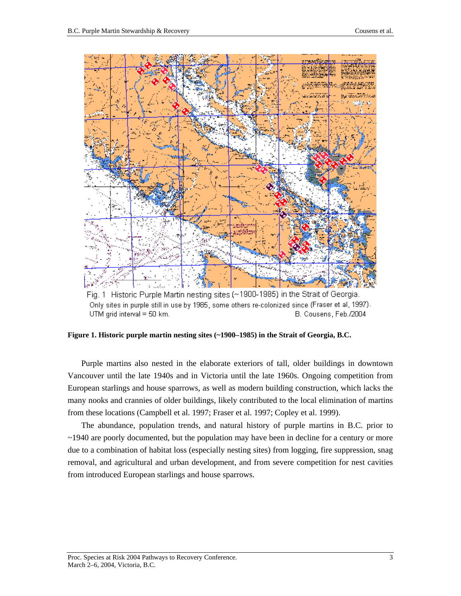

Fig. 1 Historic Purple Martin nesting sites (~1900-1985) in the Strait of Georgia. Only sites in purple still in use by 1985, some others re-colonized since (Fraser et al, 1997). UTM grid interval = 50 km. B. Cousens, Feb./2004

**Figure 1. Historic purple martin nesting sites (~1900–1985) in the Strait of Georgia, B.C.**

Purple martins also nested in the elaborate exteriors of tall, older buildings in downtown Vancouver until the late 1940s and in Victoria until the late 1960s. Ongoing competition from European starlings and house sparrows, as well as modern building construction, which lacks the many nooks and crannies of older buildings, likely contributed to the local elimination of martins from these locations (Campbell et al. 1997; Fraser et al. 1997; Copley et al. 1999).

The abundance, population trends, and natural history of purple martins in B.C. prior to ~1940 are poorly documented, but the population may have been in decline for a century or more due to a combination of habitat loss (especially nesting sites) from logging, fire suppression, snag removal, and agricultural and urban development, and from severe competition for nest cavities from introduced European starlings and house sparrows.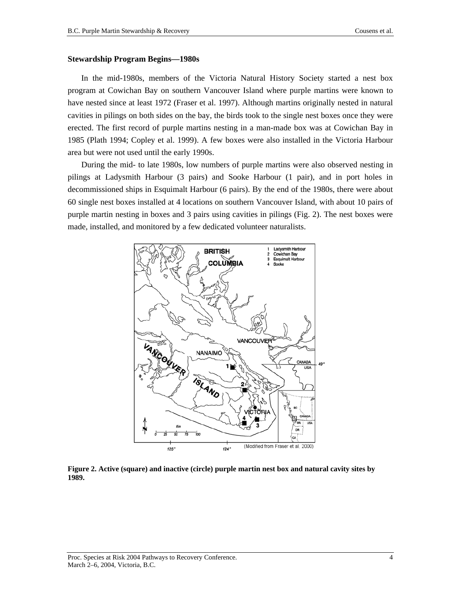### **Stewardship Program Begins—1980s**

In the mid-1980s, members of the Victoria Natural History Society started a nest box program at Cowichan Bay on southern Vancouver Island where purple martins were known to have nested since at least 1972 (Fraser et al. 1997). Although martins originally nested in natural cavities in pilings on both sides on the bay, the birds took to the single nest boxes once they were erected. The first record of purple martins nesting in a man-made box was at Cowichan Bay in 1985 (Plath 1994; Copley et al. 1999). A few boxes were also installed in the Victoria Harbour area but were not used until the early 1990s.

During the mid- to late 1980s, low numbers of purple martins were also observed nesting in pilings at Ladysmith Harbour (3 pairs) and Sooke Harbour (1 pair), and in port holes in decommissioned ships in Esquimalt Harbour (6 pairs). By the end of the 1980s, there were about 60 single nest boxes installed at 4 locations on southern Vancouver Island, with about 10 pairs of purple martin nesting in boxes and 3 pairs using cavities in pilings (Fig. 2). The nest boxes were made, installed, and monitored by a few dedicated volunteer naturalists.



**Figure 2. Active (square) and inactive (circle) purple martin nest box and natural cavity sites by 1989.**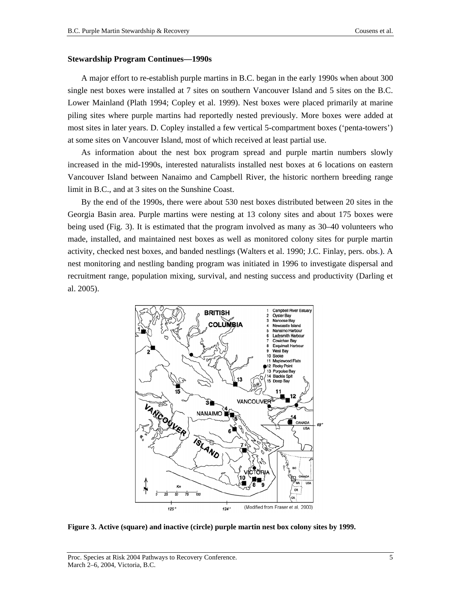### **Stewardship Program Continues—1990s**

A major effort to re-establish purple martins in B.C. began in the early 1990s when about 300 single nest boxes were installed at 7 sites on southern Vancouver Island and 5 sites on the B.C. Lower Mainland (Plath 1994; Copley et al. 1999). Nest boxes were placed primarily at marine piling sites where purple martins had reportedly nested previously. More boxes were added at most sites in later years. D. Copley installed a few vertical 5-compartment boxes ('penta-towers') at some sites on Vancouver Island, most of which received at least partial use.

As information about the nest box program spread and purple martin numbers slowly increased in the mid-1990s, interested naturalists installed nest boxes at 6 locations on eastern Vancouver Island between Nanaimo and Campbell River, the historic northern breeding range limit in B.C., and at 3 sites on the Sunshine Coast.

By the end of the 1990s, there were about 530 nest boxes distributed between 20 sites in the Georgia Basin area. Purple martins were nesting at 13 colony sites and about 175 boxes were being used (Fig. 3). It is estimated that the program involved as many as 30–40 volunteers who made, installed, and maintained nest boxes as well as monitored colony sites for purple martin activity, checked nest boxes, and banded nestlings (Walters et al. 1990; J.C. Finlay, pers. obs.). A nest monitoring and nestling banding program was initiated in 1996 to investigate dispersal and recruitment range, population mixing, survival, and nesting success and productivity (Darling et al. 2005).



**Figure 3. Active (square) and inactive (circle) purple martin nest box colony sites by 1999.**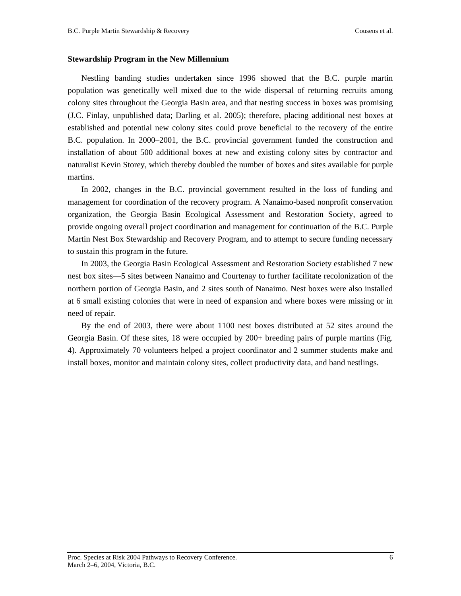### **Stewardship Program in the New Millennium**

Nestling banding studies undertaken since 1996 showed that the B.C. purple martin population was genetically well mixed due to the wide dispersal of returning recruits among colony sites throughout the Georgia Basin area, and that nesting success in boxes was promising (J.C. Finlay, unpublished data; Darling et al. 2005); therefore, placing additional nest boxes at established and potential new colony sites could prove beneficial to the recovery of the entire B.C. population. In 2000–2001, the B.C. provincial government funded the construction and installation of about 500 additional boxes at new and existing colony sites by contractor and naturalist Kevin Storey, which thereby doubled the number of boxes and sites available for purple martins.

In 2002, changes in the B.C. provincial government resulted in the loss of funding and management for coordination of the recovery program. A Nanaimo-based nonprofit conservation organization, the Georgia Basin Ecological Assessment and Restoration Society, agreed to provide ongoing overall project coordination and management for continuation of the B.C. Purple Martin Nest Box Stewardship and Recovery Program, and to attempt to secure funding necessary to sustain this program in the future.

In 2003, the Georgia Basin Ecological Assessment and Restoration Society established 7 new nest box sites—5 sites between Nanaimo and Courtenay to further facilitate recolonization of the northern portion of Georgia Basin, and 2 sites south of Nanaimo. Nest boxes were also installed at 6 small existing colonies that were in need of expansion and where boxes were missing or in need of repair.

By the end of 2003, there were about 1100 nest boxes distributed at 52 sites around the Georgia Basin. Of these sites, 18 were occupied by 200+ breeding pairs of purple martins (Fig. 4). Approximately 70 volunteers helped a project coordinator and 2 summer students make and install boxes, monitor and maintain colony sites, collect productivity data, and band nestlings.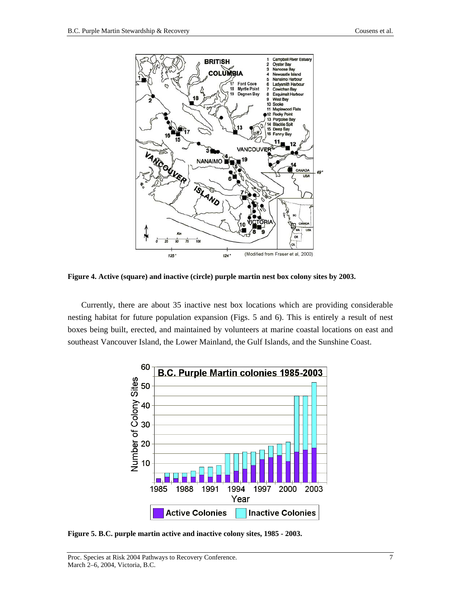

**Figure 4. Active (square) and inactive (circle) purple martin nest box colony sites by 2003.** 

Currently, there are about 35 inactive nest box locations which are providing considerable nesting habitat for future population expansion (Figs. 5 and 6). This is entirely a result of nest boxes being built, erected, and maintained by volunteers at marine coastal locations on east and southeast Vancouver Island, the Lower Mainland, the Gulf Islands, and the Sunshine Coast.



**Figure 5. B.C. purple martin active and inactive colony sites, 1985 - 2003.**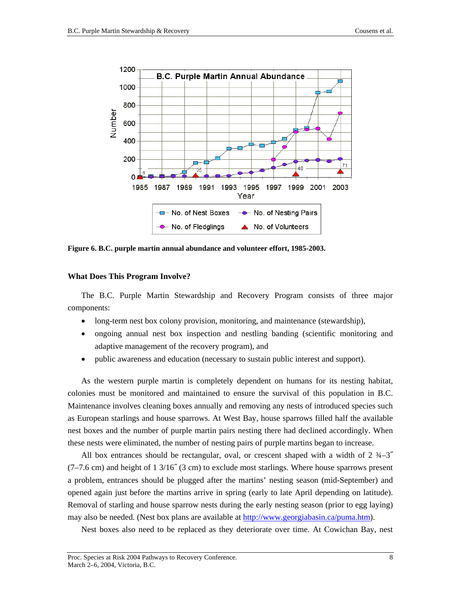

**Figure 6. B.C. purple martin annual abundance and volunteer effort, 1985-2003.** 

## **What Does This Program Involve?**

The B.C. Purple Martin Stewardship and Recovery Program consists of three major components:

- long-term nest box colony provision, monitoring, and maintenance (stewardship),
- ongoing annual nest box inspection and nestling banding (scientific monitoring and adaptive management of the recovery program), and
- public awareness and education (necessary to sustain public interest and support).

As the western purple martin is completely dependent on humans for its nesting habitat, colonies must be monitored and maintained to ensure the survival of this population in B.C. Maintenance involves cleaning boxes annually and removing any nests of introduced species such as European starlings and house sparrows. At West Bay, house sparrows filled half the available nest boxes and the number of purple martin pairs nesting there had declined accordingly. When these nests were eliminated, the number of nesting pairs of purple martins began to increase.

All box entrances should be rectangular, oval, or crescent shaped with a width of  $2\frac{3}{4}-3$  $(7–7.6 \text{ cm})$  and height of 1 3/16<sup> $\degree$ </sup> (3 cm) to exclude most starlings. Where house sparrows present a problem, entrances should be plugged after the martins' nesting season (mid-September) and opened again just before the martins arrive in spring (early to late April depending on latitude). Removal of starling and house sparrow nests during the early nesting season (prior to egg laying) may also be needed. (Nest box plans are available at [http://www.georgiabasin.ca/puma.htm\)](http://www.georgiabasin.ca/puma.htm).

Nest boxes also need to be replaced as they deteriorate over time. At Cowichan Bay, nest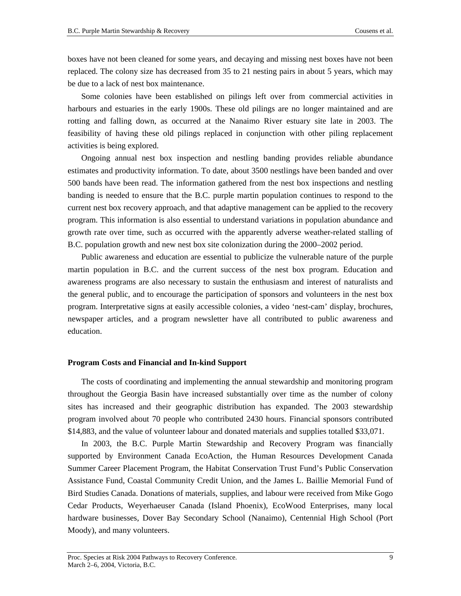boxes have not been cleaned for some years, and decaying and missing nest boxes have not been replaced. The colony size has decreased from 35 to 21 nesting pairs in about 5 years, which may be due to a lack of nest box maintenance.

Some colonies have been established on pilings left over from commercial activities in harbours and estuaries in the early 1900s. These old pilings are no longer maintained and are rotting and falling down, as occurred at the Nanaimo River estuary site late in 2003. The feasibility of having these old pilings replaced in conjunction with other piling replacement activities is being explored.

Ongoing annual nest box inspection and nestling banding provides reliable abundance estimates and productivity information. To date, about 3500 nestlings have been banded and over 500 bands have been read. The information gathered from the nest box inspections and nestling banding is needed to ensure that the B.C. purple martin population continues to respond to the current nest box recovery approach, and that adaptive management can be applied to the recovery program. This information is also essential to understand variations in population abundance and growth rate over time, such as occurred with the apparently adverse weather-related stalling of B.C. population growth and new nest box site colonization during the 2000–2002 period.

Public awareness and education are essential to publicize the vulnerable nature of the purple martin population in B.C. and the current success of the nest box program. Education and awareness programs are also necessary to sustain the enthusiasm and interest of naturalists and the general public, and to encourage the participation of sponsors and volunteers in the nest box program. Interpretative signs at easily accessible colonies, a video 'nest-cam' display, brochures, newspaper articles, and a program newsletter have all contributed to public awareness and education.

### **Program Costs and Financial and In-kind Support**

The costs of coordinating and implementing the annual stewardship and monitoring program throughout the Georgia Basin have increased substantially over time as the number of colony sites has increased and their geographic distribution has expanded. The 2003 stewardship program involved about 70 people who contributed 2430 hours. Financial sponsors contributed \$14,883, and the value of volunteer labour and donated materials and supplies totalled \$33,071.

In 2003, the B.C. Purple Martin Stewardship and Recovery Program was financially supported by Environment Canada EcoAction, the Human Resources Development Canada Summer Career Placement Program, the Habitat Conservation Trust Fund's Public Conservation Assistance Fund, Coastal Community Credit Union, and the James L. Baillie Memorial Fund of Bird Studies Canada. Donations of materials, supplies, and labour were received from Mike Gogo Cedar Products, Weyerhaeuser Canada (Island Phoenix), EcoWood Enterprises, many local hardware businesses, Dover Bay Secondary School (Nanaimo), Centennial High School (Port Moody), and many volunteers.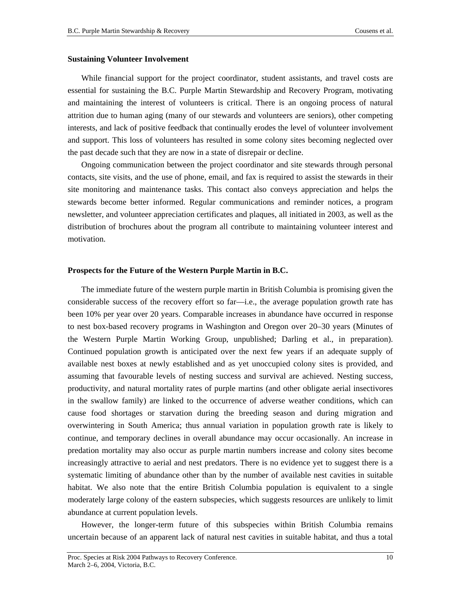#### **Sustaining Volunteer Involvement**

While financial support for the project coordinator, student assistants, and travel costs are essential for sustaining the B.C. Purple Martin Stewardship and Recovery Program, motivating and maintaining the interest of volunteers is critical. There is an ongoing process of natural attrition due to human aging (many of our stewards and volunteers are seniors), other competing interests, and lack of positive feedback that continually erodes the level of volunteer involvement and support. This loss of volunteers has resulted in some colony sites becoming neglected over the past decade such that they are now in a state of disrepair or decline.

Ongoing communication between the project coordinator and site stewards through personal contacts, site visits, and the use of phone, email, and fax is required to assist the stewards in their site monitoring and maintenance tasks. This contact also conveys appreciation and helps the stewards become better informed. Regular communications and reminder notices, a program newsletter, and volunteer appreciation certificates and plaques, all initiated in 2003, as well as the distribution of brochures about the program all contribute to maintaining volunteer interest and motivation.

### **Prospects for the Future of the Western Purple Martin in B.C.**

The immediate future of the western purple martin in British Columbia is promising given the considerable success of the recovery effort so far—i.e., the average population growth rate has been 10% per year over 20 years. Comparable increases in abundance have occurred in response to nest box-based recovery programs in Washington and Oregon over 20–30 years (Minutes of the Western Purple Martin Working Group, unpublished; Darling et al., in preparation). Continued population growth is anticipated over the next few years if an adequate supply of available nest boxes at newly established and as yet unoccupied colony sites is provided, and assuming that favourable levels of nesting success and survival are achieved. Nesting success, productivity, and natural mortality rates of purple martins (and other obligate aerial insectivores in the swallow family) are linked to the occurrence of adverse weather conditions, which can cause food shortages or starvation during the breeding season and during migration and overwintering in South America; thus annual variation in population growth rate is likely to continue, and temporary declines in overall abundance may occur occasionally. An increase in predation mortality may also occur as purple martin numbers increase and colony sites become increasingly attractive to aerial and nest predators. There is no evidence yet to suggest there is a systematic limiting of abundance other than by the number of available nest cavities in suitable habitat. We also note that the entire British Columbia population is equivalent to a single moderately large colony of the eastern subspecies, which suggests resources are unlikely to limit abundance at current population levels.

However, the longer-term future of this subspecies within British Columbia remains uncertain because of an apparent lack of natural nest cavities in suitable habitat, and thus a total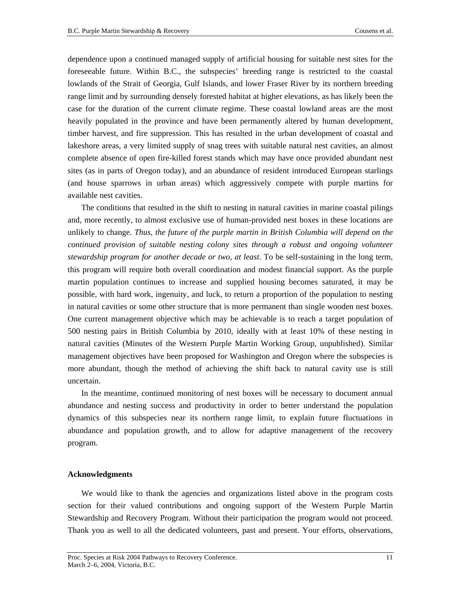dependence upon a continued managed supply of artificial housing for suitable nest sites for the foreseeable future. Within B.C., the subspecies' breeding range is restricted to the coastal lowlands of the Strait of Georgia, Gulf Islands, and lower Fraser River by its northern breeding range limit and by surrounding densely forested habitat at higher elevations, as has likely been the case for the duration of the current climate regime. These coastal lowland areas are the most heavily populated in the province and have been permanently altered by human development, timber harvest, and fire suppression. This has resulted in the urban development of coastal and lakeshore areas, a very limited supply of snag trees with suitable natural nest cavities, an almost complete absence of open fire-killed forest stands which may have once provided abundant nest sites (as in parts of Oregon today), and an abundance of resident introduced European starlings (and house sparrows in urban areas) which aggressively compete with purple martins for available nest cavities.

The conditions that resulted in the shift to nesting in natural cavities in marine coastal pilings and, more recently, to almost exclusive use of human-provided nest boxes in these locations are unlikely to change. *Thus, the future of the purple martin in British Columbia will depend on the continued provision of suitable nesting colony sites through a robust and ongoing volunteer stewardship program for another decade or two, at least*. To be self-sustaining in the long term, this program will require both overall coordination and modest financial support. As the purple martin population continues to increase and supplied housing becomes saturated, it may be possible, with hard work, ingenuity, and luck, to return a proportion of the population to nesting in natural cavities or some other structure that is more permanent than single wooden nest boxes. One current management objective which may be achievable is to reach a target population of 500 nesting pairs in British Columbia by 2010, ideally with at least 10% of these nesting in natural cavities (Minutes of the Western Purple Martin Working Group, unpublished). Similar management objectives have been proposed for Washington and Oregon where the subspecies is more abundant, though the method of achieving the shift back to natural cavity use is still uncertain.

In the meantime, continued monitoring of nest boxes will be necessary to document annual abundance and nesting success and productivity in order to better understand the population dynamics of this subspecies near its northern range limit, to explain future fluctuations in abundance and population growth, and to allow for adaptive management of the recovery program.

### **Acknowledgments**

We would like to thank the agencies and organizations listed above in the program costs section for their valued contributions and ongoing support of the Western Purple Martin Stewardship and Recovery Program. Without their participation the program would not proceed. Thank you as well to all the dedicated volunteers, past and present. Your efforts, observations,